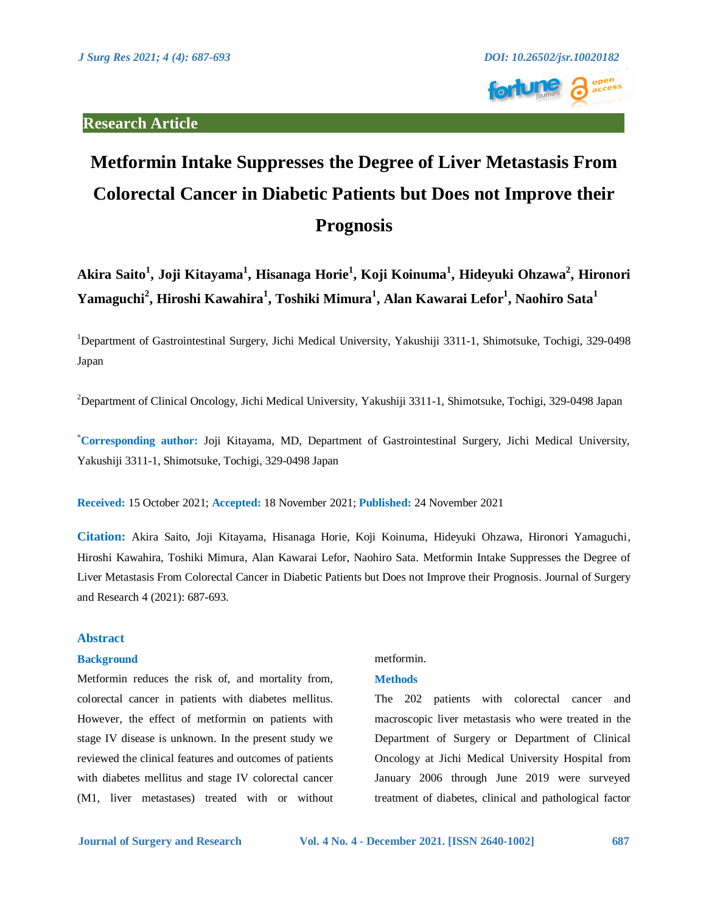

# **Metformin Intake Suppresses the Degree of Liver Metastasis From Colorectal Cancer in Diabetic Patients but Does not Improve their Prognosis**

**Akira Saito<sup>1</sup> , Joji Kitayama<sup>1</sup> , Hisanaga Horie<sup>1</sup> , Koji Koinuma<sup>1</sup> , Hideyuki Ohzawa<sup>2</sup> , Hironori Yamaguchi<sup>2</sup> , Hiroshi Kawahira<sup>1</sup> , Toshiki Mimura<sup>1</sup> , Alan Kawarai Lefor<sup>1</sup> , Naohiro Sata<sup>1</sup>**

<sup>1</sup>Department of Gastrointestinal Surgery, Jichi Medical University, Yakushiji 3311-1, Shimotsuke, Tochigi, 329-0498 Japan

<sup>2</sup>Department of Clinical Oncology, Jichi Medical University, Yakushiji 3311-1, Shimotsuke, Tochigi, 329-0498 Japan

**\*Corresponding author:** Joji Kitayama, MD, Department of Gastrointestinal Surgery, Jichi Medical University, Yakushiji 3311-1, Shimotsuke, Tochigi, 329-0498 Japan

**Received:** 15 October 2021; **Accepted:** 18 November 2021; **Published:** 24 November 2021

**Citation:** Akira Saito, Joji Kitayama, Hisanaga Horie, Koji Koinuma, Hideyuki Ohzawa, Hironori Yamaguchi, Hiroshi Kawahira, Toshiki Mimura, Alan Kawarai Lefor, Naohiro Sata. Metformin Intake Suppresses the Degree of Liver Metastasis From Colorectal Cancer in Diabetic Patients but Does not Improve their Prognosis. Journal of Surgery and Research 4 (2021): 687-693.

# **Abstract**

## **Background**

Metformin reduces the risk of, and mortality from, colorectal cancer in patients with diabetes mellitus. However, the effect of metformin on patients with stage IV disease is unknown. In the present study we reviewed the clinical features and outcomes of patients with diabetes mellitus and stage IV colorectal cancer (M1, liver metastases) treated with or without

# metformin.

# **Methods**

The 202 patients with colorectal cancer and macroscopic liver metastasis who were treated in the Department of Surgery or Department of Clinical Oncology at Jichi Medical University Hospital from January 2006 through June 2019 were surveyed treatment of diabetes, clinical and pathological factor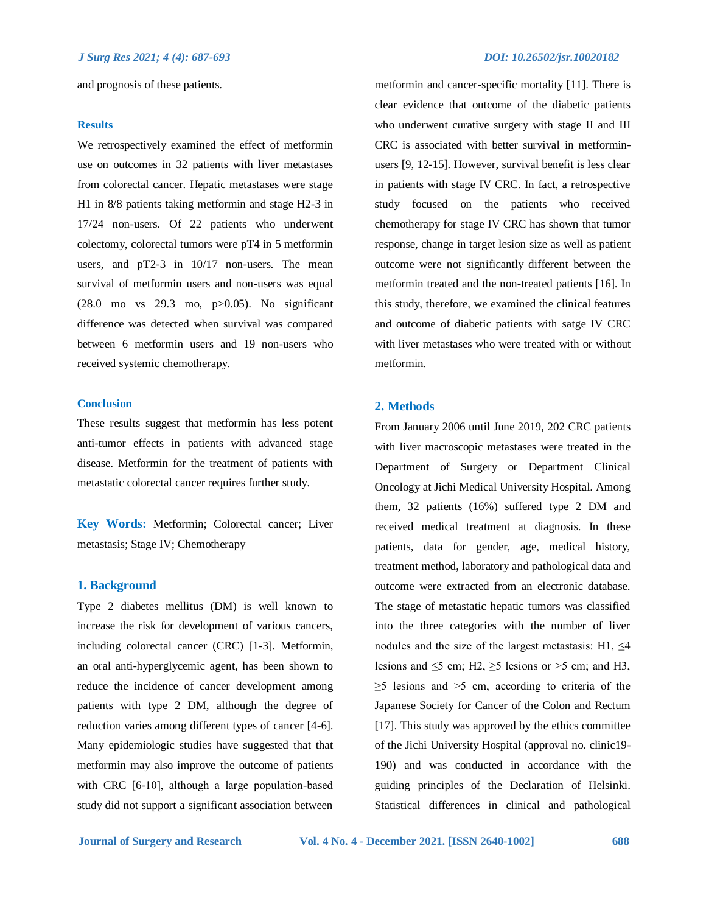and prognosis of these patients.

### **Results**

We retrospectively examined the effect of metformin use on outcomes in 32 patients with liver metastases from colorectal cancer. Hepatic metastases were stage H1 in 8/8 patients taking metformin and stage H2-3 in 17/24 non-users. Of 22 patients who underwent colectomy, colorectal tumors were pT4 in 5 metformin users, and pT2-3 in 10/17 non-users. The mean survival of metformin users and non-users was equal (28.0 mo vs 29.3 mo, p>0.05). No significant difference was detected when survival was compared between 6 metformin users and 19 non-users who received systemic chemotherapy.

# **Conclusion**

These results suggest that metformin has less potent anti-tumor effects in patients with advanced stage disease. Metformin for the treatment of patients with metastatic colorectal cancer requires further study.

**Key Words:** Metformin; Colorectal cancer; Liver metastasis; Stage IV; Chemotherapy

# **1. Background**

Type 2 diabetes mellitus (DM) is well known to increase the risk for development of various cancers, including colorectal cancer (CRC) [1-3]. Metformin, an oral anti-hyperglycemic agent, has been shown to reduce the incidence of cancer development among patients with type 2 DM, although the degree of reduction varies among different types of cancer [4-6]. Many epidemiologic studies have suggested that that metformin may also improve the outcome of patients with CRC [6-10], although a large population‐based study did not support a significant association between

metformin and cancer-specific mortality [11]. There is clear evidence that outcome of the diabetic patients who underwent curative surgery with stage II and III CRC is associated with better survival in metforminusers [9, 12-15]. However, survival benefit is less clear in patients with stage IV CRC. In fact, a retrospective study focused on the patients who received chemotherapy for stage IV CRC has shown that tumor response, change in target lesion size as well as patient outcome were not significantly different between the metformin treated and the non-treated patients [16]. In this study, therefore, we examined the clinical features and outcome of diabetic patients with satge IV CRC with liver metastases who were treated with or without metformin.

### **2. Methods**

From January 2006 until June 2019, 202 CRC patients with liver macroscopic metastases were treated in the Department of Surgery or Department Clinical Oncology at Jichi Medical University Hospital. Among them, 32 patients (16%) suffered type 2 DM and received medical treatment at diagnosis. In these patients, data for gender, age, medical history, treatment method, laboratory and pathological data and outcome were extracted from an electronic database. The stage of metastatic hepatic tumors was classified into the three categories with the number of liver nodules and the size of the largest metastasis: H1,  $\leq$ 4 lesions and  $\leq$ 5 cm; H2,  $\geq$ 5 lesions or >5 cm; and H3,  $\geq$ 5 lesions and  $\geq$ 5 cm, according to criteria of the Japanese Society for Cancer of the Colon and Rectum [17]. This study was approved by the ethics committee of the Jichi University Hospital (approval no. clinic19- 190) and was conducted in accordance with the guiding principles of the Declaration of Helsinki. Statistical differences in clinical and pathological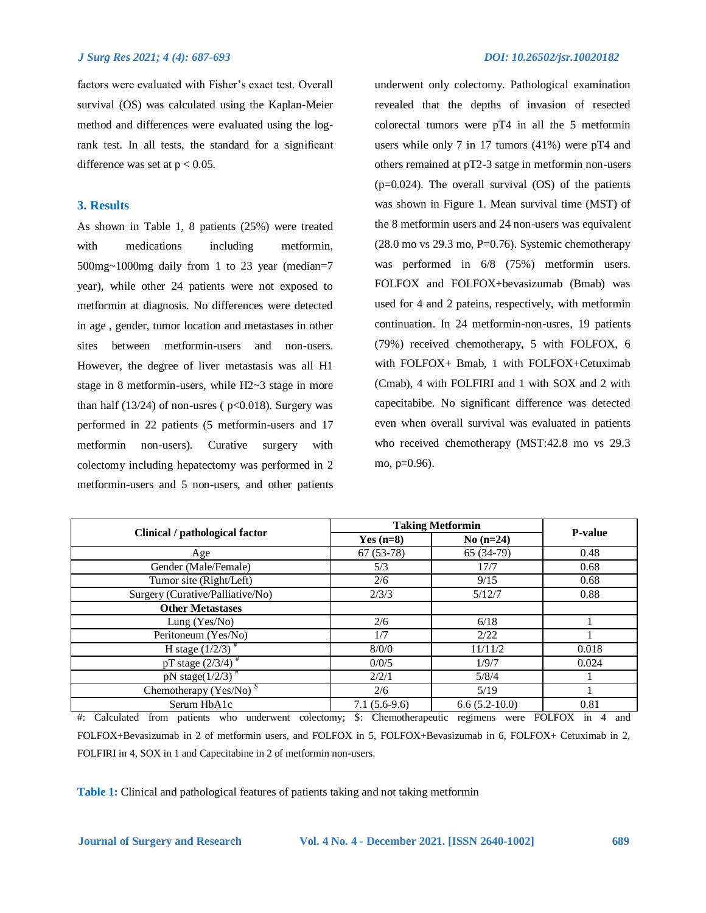### *J Surg Res 2021; 4 (4): 687-693 DOI: 10.26502/jsr.10020182*

factors were evaluated with Fisher's exact test. Overall survival (OS) was calculated using the Kaplan-Meier method and differences were evaluated using the logrank test. In all tests, the standard for a significant difference was set at  $p < 0.05$ .

# **3. Results**

As shown in Table 1, 8 patients (25%) were treated with medications including metformin, 500mg~1000mg daily from 1 to 23 year (median=7 year), while other 24 patients were not exposed to metformin at diagnosis. No differences were detected in age , gender, tumor location and metastases in other sites between metformin-users and non-users. However, the degree of liver metastasis was all H1 stage in 8 metformin-users, while H2~3 stage in more than half  $(13/24)$  of non-usres ( $p<0.018$ ). Surgery was performed in 22 patients (5 metformin-users and 17 metformin non-users). Curative surgery with colectomy including hepatectomy was performed in 2 metformin-users and 5 non-users, and other patients

underwent only colectomy. Pathological examination revealed that the depths of invasion of resected colorectal tumors were pT4 in all the 5 metformin users while only 7 in 17 tumors (41%) were pT4 and others remained at pT2-3 satge in metformin non-users  $(p=0.024)$ . The overall survival  $(OS)$  of the patients was shown in Figure 1. Mean survival time (MST) of the 8 metformin users and 24 non-users was equivalent  $(28.0 \text{ mo vs } 29.3 \text{ mo}, P=0.76)$ . Systemic chemotherapy was performed in  $6/8$  (75%) metformin users. FOLFOX and FOLFOX+bevasizumab (Bmab) was used for 4 and 2 pateins, respectively, with metformin continuation. In 24 metformin-non-usres, 19 patients (79%) received chemotherapy, 5 with FOLFOX, 6 with FOLFOX+ Bmab, 1 with FOLFOX+Cetuximab (Cmab), 4 with FOLFIRI and 1 with SOX and 2 with capecitabibe. No significant difference was detected even when overall survival was evaluated in patients who received chemotherapy (MST:42.8 mo vs 29.3 mo, p=0.96).

| Clinical / pathological factor                                                                                                                           | <b>Taking Metformin</b> |                 | <b>P-value</b> |
|----------------------------------------------------------------------------------------------------------------------------------------------------------|-------------------------|-----------------|----------------|
|                                                                                                                                                          | Yes $(n=8)$             | $No(n=24)$      |                |
| Age                                                                                                                                                      | $67(53-78)$             | 65 (34-79)      | 0.48           |
| Gender (Male/Female)                                                                                                                                     | 5/3                     | 17/7            | 0.68           |
| Tumor site (Right/Left)                                                                                                                                  | 2/6                     | 9/15            | 0.68           |
| Surgery (Curative/Palliative/No)                                                                                                                         | 2/3/3                   | 5/12/7          | 0.88           |
| <b>Other Metastases</b>                                                                                                                                  |                         |                 |                |
| Lung $(Yes/No)$                                                                                                                                          | 2/6                     | 6/18            |                |
| Peritoneum (Yes/No)                                                                                                                                      | 1/7                     | 2/22            |                |
| H stage $(1/2/3)^*$                                                                                                                                      | 8/0/0                   | 11/11/2         | 0.018          |
| pT stage $\left(2/3/4\right)$ <sup>#</sup>                                                                                                               | 0/0/5                   | 1/9/7           | 0.024          |
| pN stage( $1/2/3$ ) <sup>#</sup>                                                                                                                         | 2/2/1                   | 5/8/4           |                |
| Chemotherapy $(Yes/No)^{S}$                                                                                                                              | 2/6                     | 5/19            |                |
| Serum HbA1c                                                                                                                                              | $7.1(5.6-9.6)$          | $6.6(5.2-10.0)$ | 0.81           |
| <b>FOLFOX</b><br>Calculated<br>from patients who underwent colectomy;<br>Chemotherapeutic<br>and<br>$\#$ :<br>$\mathbb{S}$ :<br>regimens were<br>4<br>1n |                         |                 |                |

FOLFOX+Bevasizumab in 2 of metformin users, and FOLFOX in 5, FOLFOX+Bevasizumab in 6, FOLFOX+ Cetuximab in 2, FOLFIRI in 4, SOX in 1 and Capecitabine in 2 of metformin non-users.

**Table 1:** Clinical and pathological features of patients taking and not taking metformin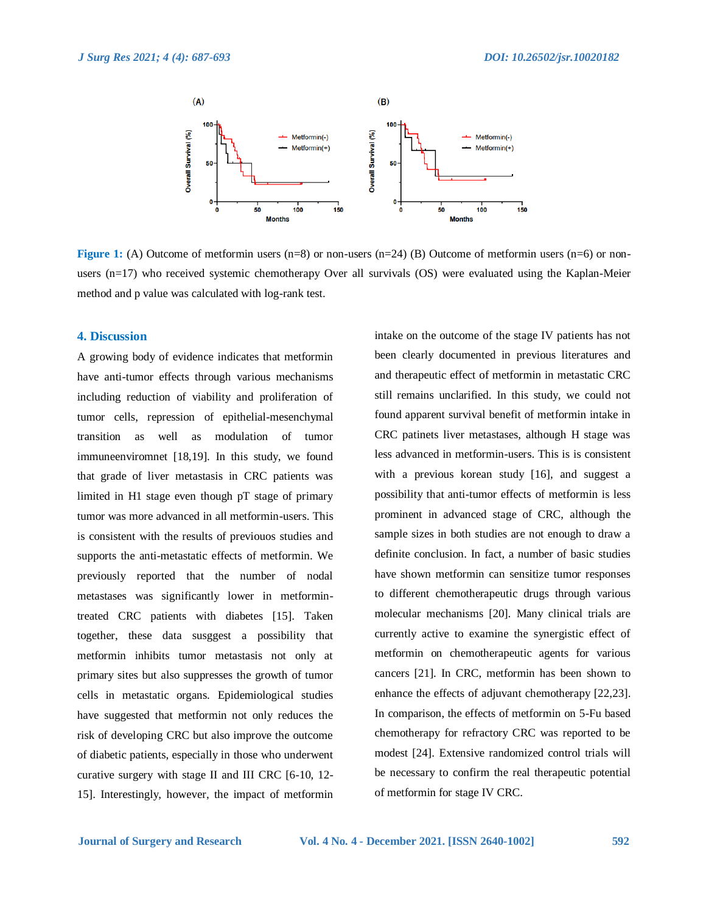

**Figure 1:** (A) Outcome of metformin users (n=8) or non-users (n=24) (B) Outcome of metformin users (n=6) or nonusers (n=17) who received systemic chemotherapy Over all survivals (OS) were evaluated using the Kaplan-Meier method and p value was calculated with log-rank test.

# **4. Discussion**

A growing body of evidence indicates that metformin have anti-tumor effects through various mechanisms including reduction of viability and proliferation of tumor cells, repression of epithelial-mesenchymal transition as well as modulation of tumor immuneenviromnet [18,19]. In this study, we found that grade of liver metastasis in CRC patients was limited in H1 stage even though pT stage of primary tumor was more advanced in all metformin-users. This is consistent with the results of previouos studies and supports the anti-metastatic effects of metformin. We previously reported that the number of nodal metastases was significantly lower in metformintreated CRC patients with diabetes [15]. Taken together, these data susggest a possibility that metformin inhibits tumor metastasis not only at primary sites but also suppresses the growth of tumor cells in metastatic organs. Epidemiological studies have suggested that metformin not only reduces the risk of developing CRC but also improve the outcome of diabetic patients, especially in those who underwent curative surgery with stage II and III CRC [6-10, 12- 15]. Interestingly, however, the impact of metformin

intake on the outcome of the stage IV patients has not been clearly documented in previous literatures and and therapeutic effect of metformin in metastatic CRC still remains unclarified. In this study, we could not found apparent survival benefit of metformin intake in CRC patinets liver metastases, although H stage was less advanced in metformin-users. This is is consistent with a previous korean study [16], and suggest a possibility that anti-tumor effects of metformin is less prominent in advanced stage of CRC, although the sample sizes in both studies are not enough to draw a definite conclusion. In fact, a number of basic studies have shown metformin can sensitize tumor responses to different chemotherapeutic drugs through various molecular mechanisms [20]. Many clinical trials are currently active to examine the synergistic effect of metformin on chemotherapeutic agents for various cancers [21]. In CRC, metformin has been shown to enhance the effects of adjuvant chemotherapy [22,23]. In comparison, the effects of metformin on 5-Fu based chemotherapy for refractory CRC was reported to be modest [24]. Extensive randomized control trials will be necessary to confirm the real therapeutic potential of metformin for stage IV CRC.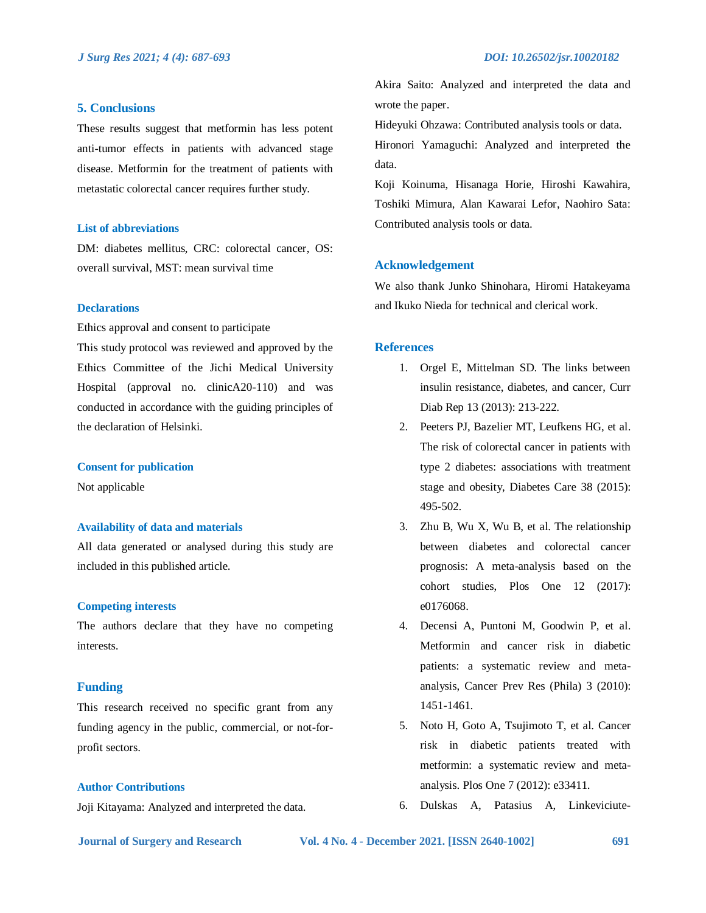# **5. Conclusions**

These results suggest that metformin has less potent anti-tumor effects in patients with advanced stage disease. Metformin for the treatment of patients with metastatic colorectal cancer requires further study.

### **List of abbreviations**

DM: diabetes mellitus, CRC: colorectal cancer, OS: overall survival, MST: mean survival time

### **Declarations**

Ethics approval and consent to participate

This study protocol was reviewed and approved by the Ethics Committee of the Jichi Medical University Hospital (approval no. clinicA20-110) and was conducted in accordance with the guiding principles of the declaration of Helsinki.

### **Consent for publication**

Not applicable

# **Availability of data and materials**

All data generated or analysed during this study are included in this published article.

### **Competing interests**

The authors declare that they have no competing interests.

# **Funding**

This research received no specific grant from any funding agency in the public, commercial, or not-forprofit sectors.

### **Author Contributions**

Joji Kitayama: Analyzed and interpreted the data.

Akira Saito: Analyzed and interpreted the data and wrote the paper.

Hideyuki Ohzawa: Contributed analysis tools or data.

Hironori Yamaguchi: Analyzed and interpreted the data.

Koji Koinuma, Hisanaga Horie, Hiroshi Kawahira, Toshiki Mimura, Alan Kawarai Lefor, Naohiro Sata: Contributed analysis tools or data.

## **Acknowledgement**

We also thank Junko Shinohara, Hiromi Hatakeyama and Ikuko Nieda for technical and clerical work.

### **References**

- 1. Orgel E, Mittelman SD. The links between insulin resistance, diabetes, and cancer, Curr Diab Rep 13 (2013): 213-222.
- 2. Peeters PJ, Bazelier MT, Leufkens HG, et al. The risk of colorectal cancer in patients with type 2 diabetes: associations with treatment stage and obesity, Diabetes Care 38 (2015): 495-502.
- 3. Zhu B, Wu X, Wu B, et al. The relationship between diabetes and colorectal cancer prognosis: A meta-analysis based on the cohort studies, Plos One 12 (2017): e0176068.
- 4. Decensi A, Puntoni M, Goodwin P, et al. Metformin and cancer risk in diabetic patients: a systematic review and metaanalysis, Cancer Prev Res (Phila) 3 (2010): 1451-1461.
- 5. Noto H, Goto A, Tsujimoto T, et al. Cancer risk in diabetic patients treated with metformin: a systematic review and metaanalysis. Plos One 7 (2012): e33411.
- 6. Dulskas A, Patasius A, Linkeviciute-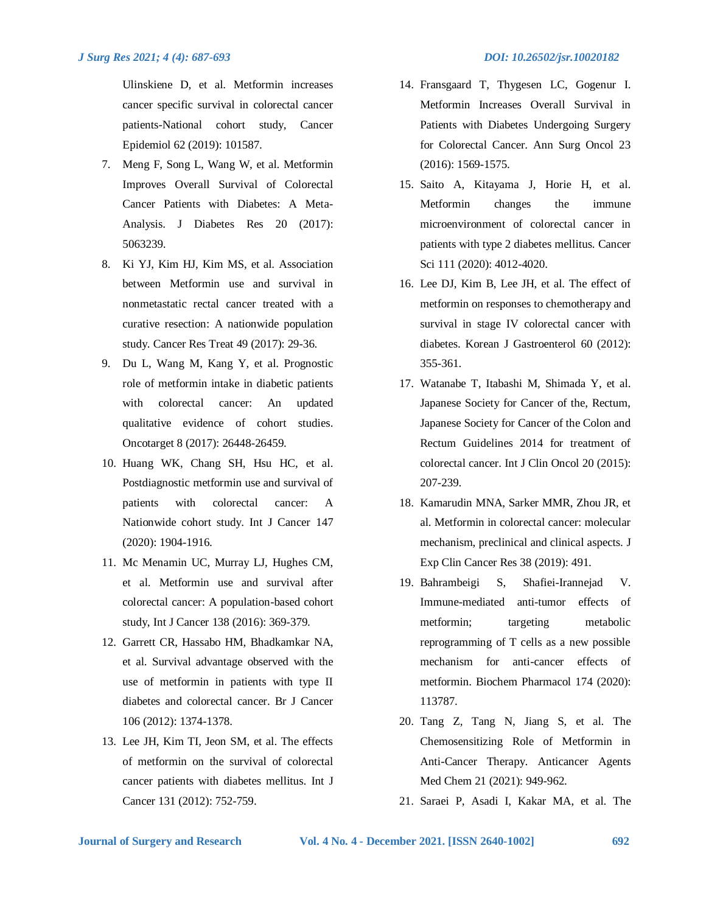Ulinskiene D, et al. Metformin increases cancer specific survival in colorectal cancer patients-National cohort study, Cancer Epidemiol 62 (2019): 101587.

- 7. Meng F, Song L, Wang W, et al. Metformin Improves Overall Survival of Colorectal Cancer Patients with Diabetes: A Meta-Analysis. J Diabetes Res 20 (2017): 5063239.
- 8. Ki YJ, Kim HJ, Kim MS, et al. Association between Metformin use and survival in nonmetastatic rectal cancer treated with a curative resection: A nationwide population study. Cancer Res Treat 49 (2017): 29-36.
- 9. Du L, Wang M, Kang Y, et al. Prognostic role of metformin intake in diabetic patients with colorectal cancer: An updated qualitative evidence of cohort studies. Oncotarget 8 (2017): 26448-26459.
- 10. Huang WK, Chang SH, Hsu HC, et al. Postdiagnostic metformin use and survival of patients with colorectal cancer: A Nationwide cohort study. Int J Cancer 147 (2020): 1904-1916.
- 11. Mc Menamin UC, Murray LJ, Hughes CM, et al. Metformin use and survival after colorectal cancer: A population-based cohort study, Int J Cancer 138 (2016): 369-379.
- 12. Garrett CR, Hassabo HM, Bhadkamkar NA, et al. Survival advantage observed with the use of metformin in patients with type II diabetes and colorectal cancer. Br J Cancer 106 (2012): 1374-1378.
- 13. Lee JH, Kim TI, Jeon SM, et al. The effects of metformin on the survival of colorectal cancer patients with diabetes mellitus. Int J Cancer 131 (2012): 752-759.
- 14. Fransgaard T, Thygesen LC, Gogenur I. Metformin Increases Overall Survival in Patients with Diabetes Undergoing Surgery for Colorectal Cancer. Ann Surg Oncol 23 (2016): 1569-1575.
- 15. Saito A, Kitayama J, Horie H, et al. Metformin changes the immune microenvironment of colorectal cancer in patients with type 2 diabetes mellitus. Cancer Sci 111 (2020): 4012-4020.
- 16. Lee DJ, Kim B, Lee JH, et al. The effect of metformin on responses to chemotherapy and survival in stage IV colorectal cancer with diabetes. Korean J Gastroenterol 60 (2012): 355-361.
- 17. Watanabe T, Itabashi M, Shimada Y, et al. Japanese Society for Cancer of the, Rectum, Japanese Society for Cancer of the Colon and Rectum Guidelines 2014 for treatment of colorectal cancer. Int J Clin Oncol 20 (2015): 207-239.
- 18. Kamarudin MNA, Sarker MMR, Zhou JR, et al. Metformin in colorectal cancer: molecular mechanism, preclinical and clinical aspects. J Exp Clin Cancer Res 38 (2019): 491.
- 19. Bahrambeigi S, Shafiei-Irannejad V. Immune-mediated anti-tumor effects of metformin; targeting metabolic reprogramming of T cells as a new possible mechanism for anti-cancer effects of metformin. Biochem Pharmacol 174 (2020): 113787.
- 20. Tang Z, Tang N, Jiang S, et al. The Chemosensitizing Role of Metformin in Anti-Cancer Therapy. Anticancer Agents Med Chem 21 (2021): 949-962.
- 21. Saraei P, Asadi I, Kakar MA, et al. The